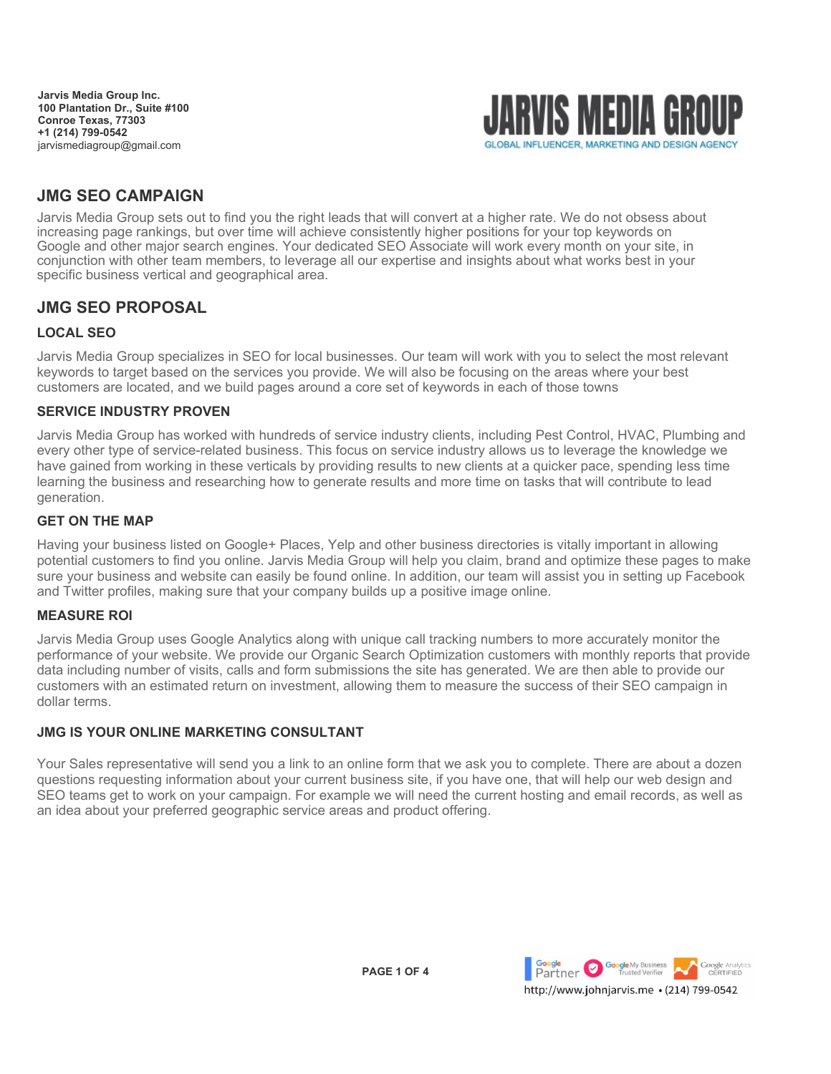**Jarvis Media Group Inc. 100 Plantation Dr., Suite #100 Conroe Texas, 77303 +1 (214) 799-0542** jarvismediagroup@gmail.com



#### GLOBAL INFLUENCER, MARKETING AND DESIGN AGENCY

# **JMG SEO CAMPAIGN**

Jarvis Media Group sets out to find you the right leads that will convert at a higher rate. We do not obsess about increasing page rankings, but over time will achieve consistently higher positions for your top keywords on Google and other major search engines. Your dedicated SEO Associate will work every month on your site, in conjunction with other team members, to leverage all our expertise and insights about what works best in your specific business vertical and geographical area.

### **JMG SEO PROPOSAL**

### **LOCAL SEO**

Jarvis Media Group specializes in SEO for local businesses. Our team will work with you to select the most relevant keywords to target based on the services you provide. We will also be focusing on the areas where your best customers are located, and we build pages around a core set of keywords in each of those towns

#### **SERVICE INDUSTRY PROVEN**

Jarvis Media Group has worked with hundreds of service industry clients, including Pest Control, HVAC, Plumbing and every other type of service-related business. This focus on service industry allows us to leverage the knowledge we have gained from working in these verticals by providing results to new clients at a quicker pace, spending less time learning the business and researching how to generate results and more time on tasks that will contribute to lead generation.

#### **GET ON THE MAP**

Having your business listed on Google+ Places, Yelp and other business directories is vitally important in allowing potential customers to find you online. Jarvis Media Group will help you claim, brand and optimize these pages to make sure your business and website can easily be found online. In addition, our team will assist you in setting up Facebook and Twitter profiles, making sure that your company builds up a positive image online.

#### **MEASURE ROI**

Jarvis Media Group uses Google Analytics along with unique call tracking numbers to more accurately monitor the performance of your website. We provide our Organic Search Optimization customers with monthly reports that provide data including number of visits, calls and form submissions the site has generated. We are then able to provide our customers with an estimated return on investment, allowing them to measure the success of their SEO campaign in dollar terms.

#### **JMG IS YOUR ONLINE MARKETING CONSULTANT**

Your Sales representative will send you a link to an online form that we ask you to complete. There are about a dozen questions requesting information about your current business site, if you have one, that will help our web design and SEO teams get to work on your campaign. For example we will need the current hosting and email records, as well as an idea about your preferred geographic service areas and product offering.

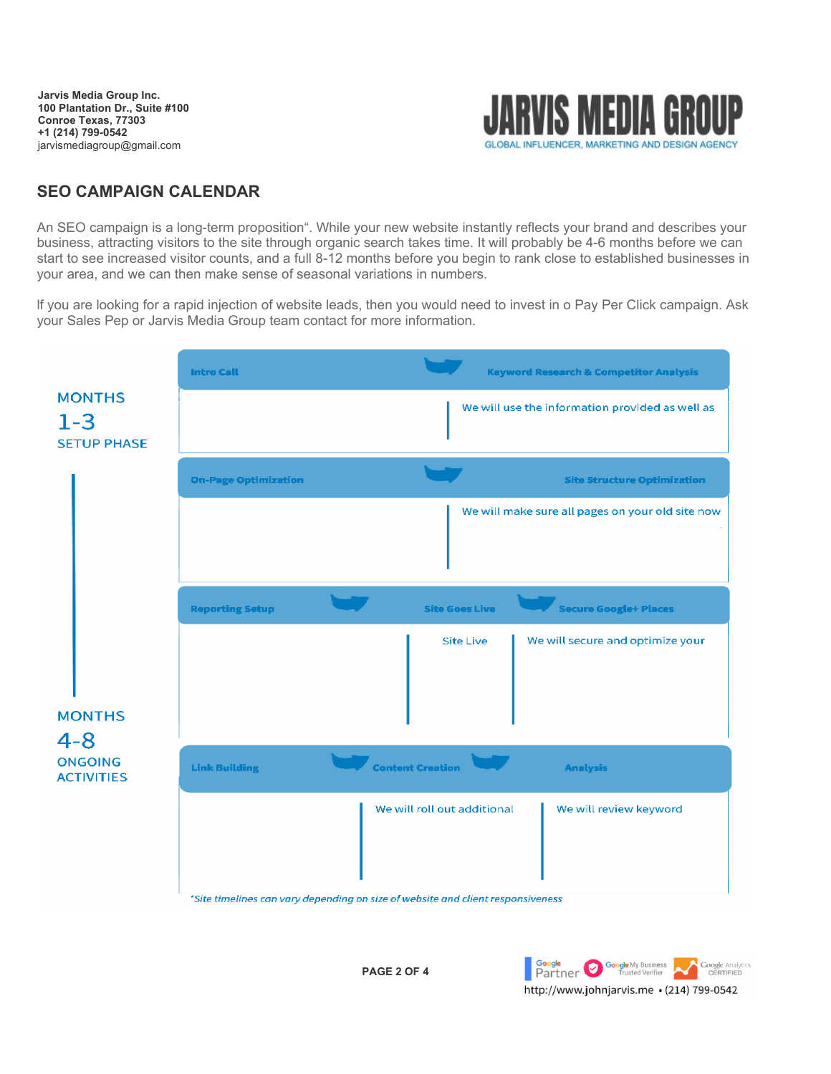**Jarvis Media Group Inc. 100 Plantation Dr., Suite #100 Conroe Texas, 77303 +1 (214) 799-0542** jarvismediagroup@gmail.com



## **SEO CAMPAIGN CALENDAR**

An SEO campaign is a long-term proposition". While your new website instantly reflects your brand and describes your business, attracting visitors to the site through organic search takes time. It will probably be 4-6 months before we can start to see increased visitor counts, and a full 8-12 months before you begin to rank close to established businesses in your area, and we can then make sense of seasonal variations in numbers.

lf you are looking for a rapid injection of website leads, then you would need to invest in o Pay Per Click campaign. Ask your Sales Pep or Jarvis Media Group team contact for more information.



\*Site timelines can vary depending on size of website and client responsiveness

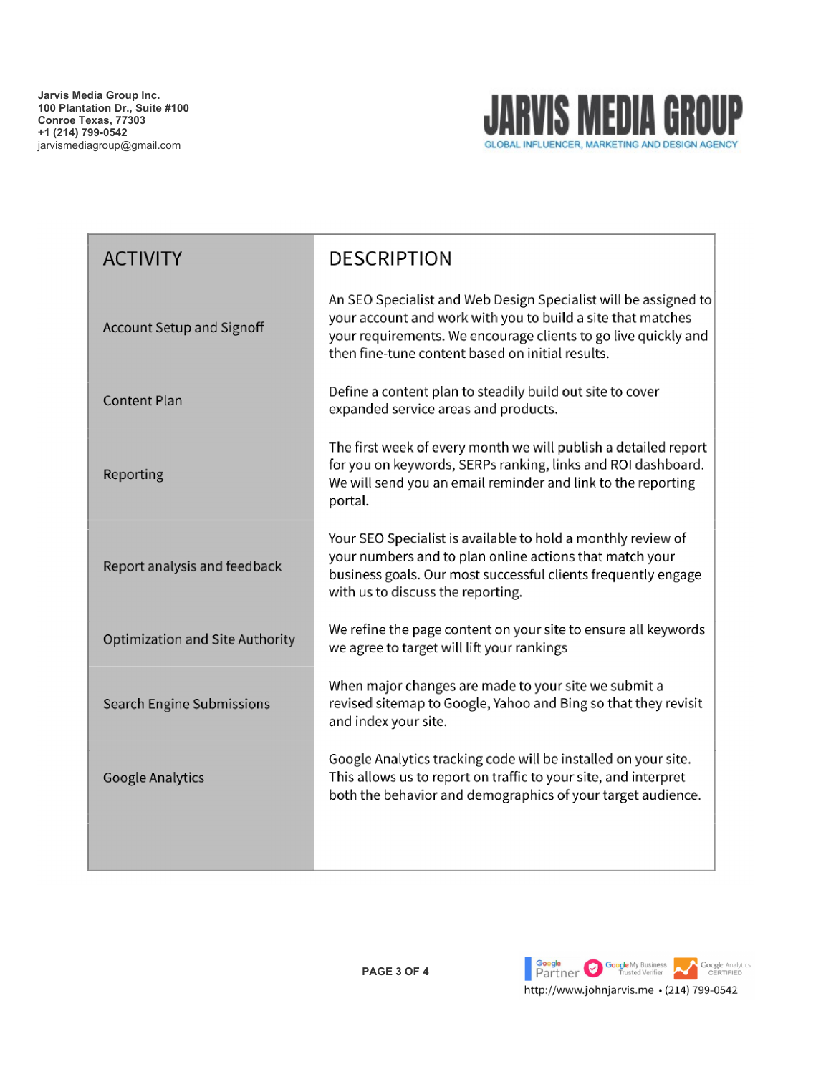

| <b>ACTIVITY</b>                 | <b>DESCRIPTION</b>                                                                                                                                                                                                                                   |
|---------------------------------|------------------------------------------------------------------------------------------------------------------------------------------------------------------------------------------------------------------------------------------------------|
| Account Setup and Signoff       | An SEO Specialist and Web Design Specialist will be assigned to<br>your account and work with you to build a site that matches<br>your requirements. We encourage clients to go live quickly and<br>then fine-tune content based on initial results. |
| <b>Content Plan</b>             | Define a content plan to steadily build out site to cover<br>expanded service areas and products.                                                                                                                                                    |
| Reporting                       | The first week of every month we will publish a detailed report<br>for you on keywords, SERPs ranking, links and ROI dashboard.<br>We will send you an email reminder and link to the reporting<br>portal.                                           |
| Report analysis and feedback    | Your SEO Specialist is available to hold a monthly review of<br>your numbers and to plan online actions that match your<br>business goals. Our most successful clients frequently engage<br>with us to discuss the reporting.                        |
| Optimization and Site Authority | We refine the page content on your site to ensure all keywords<br>we agree to target will lift your rankings                                                                                                                                         |
| Search Engine Submissions       | When major changes are made to your site we submit a<br>revised sitemap to Google, Yahoo and Bing so that they revisit<br>and index your site.                                                                                                       |
| Google Analytics                | Google Analytics tracking code will be installed on your site.<br>This allows us to report on traffic to your site, and interpret<br>both the behavior and demographics of your target audience.                                                     |
|                                 |                                                                                                                                                                                                                                                      |